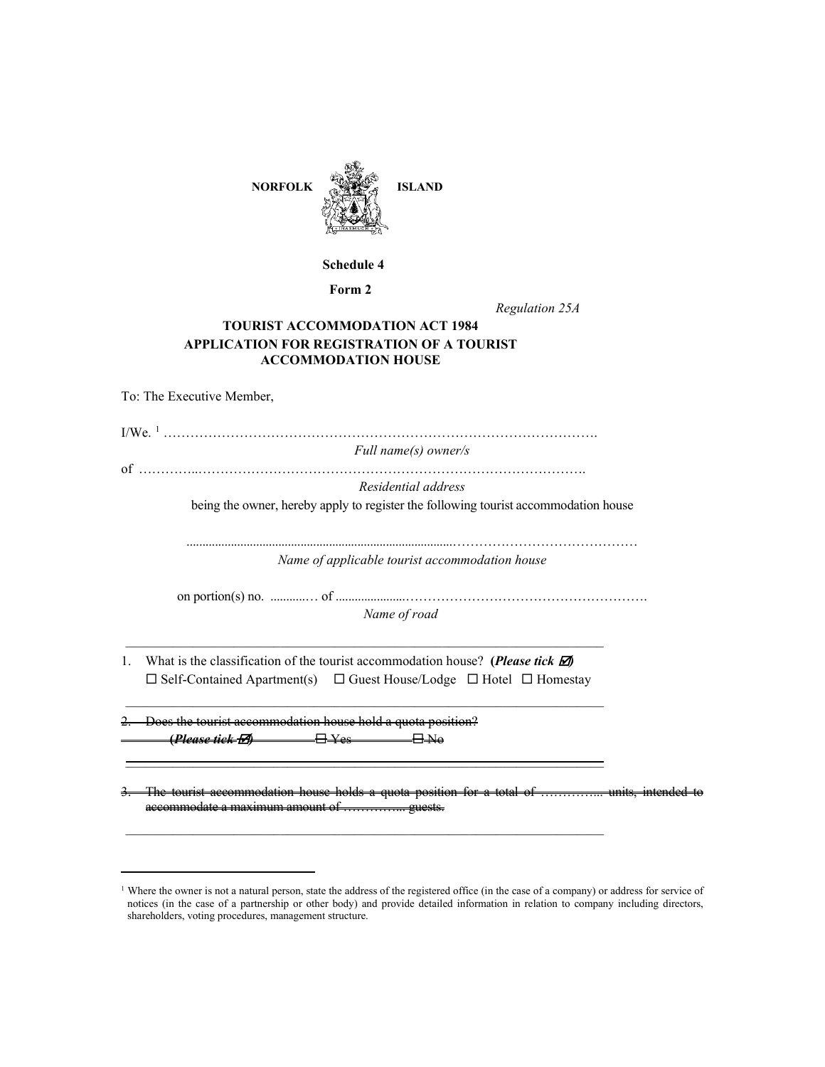

### **Schedule 4**

**Form 2**

*Regulation 25A*

## **TOURIST ACCOMMODATION ACT 1984 APPLICATION FOR REGISTRATION OF A TOURIST ACCOMMODATION HOUSE**

|    | To: The Executive Member,                                                                                                                                                                                                                                                                                                  |
|----|----------------------------------------------------------------------------------------------------------------------------------------------------------------------------------------------------------------------------------------------------------------------------------------------------------------------------|
|    |                                                                                                                                                                                                                                                                                                                            |
|    | Full name(s) owner/s                                                                                                                                                                                                                                                                                                       |
|    |                                                                                                                                                                                                                                                                                                                            |
|    | Residential address                                                                                                                                                                                                                                                                                                        |
|    | being the owner, hereby apply to register the following tourist accommodation house                                                                                                                                                                                                                                        |
|    | Name of applicable tourist accommodation house                                                                                                                                                                                                                                                                             |
|    | on portion(s) no. $\ldots$ f $\ldots$ f $\ldots$ f $\ldots$ f $\ldots$ f $\ldots$ f $\ldots$ f $\ldots$ f $\ldots$ f $\ldots$ f $\ldots$ f $\ldots$ f $\ldots$ f $\ldots$ f $\ldots$ f $\ldots$ f $\ldots$ f $\ldots$ f $\ldots$ f $\ldots$ f $\ldots$ f $\ldots$ f $\ldots$ f $\ldots$ f $\ldots$ f $\ld$<br>Name of road |
| 1. | What is the classification of the tourist accommodation house? (Please tick $\Box$ )<br>$\Box$ Self-Contained Apartment(s) $\Box$ Guest House/Lodge $\Box$ Hotel $\Box$ Homestay                                                                                                                                           |
|    | 2. Does the tourist accommodation house hold a quota position?                                                                                                                                                                                                                                                             |
|    | 3. The tourist accommodation house holds a quota position for a total of ……………… units, intended to                                                                                                                                                                                                                         |

<span id="page-0-0"></span><sup>&</sup>lt;sup>1</sup> Where the owner is not a natural person, state the address of the registered office (in the case of a company) or address for service of notices (in the case of a partnership or other body) and provide detailed information in relation to company including directors, shareholders, voting procedures, management structure.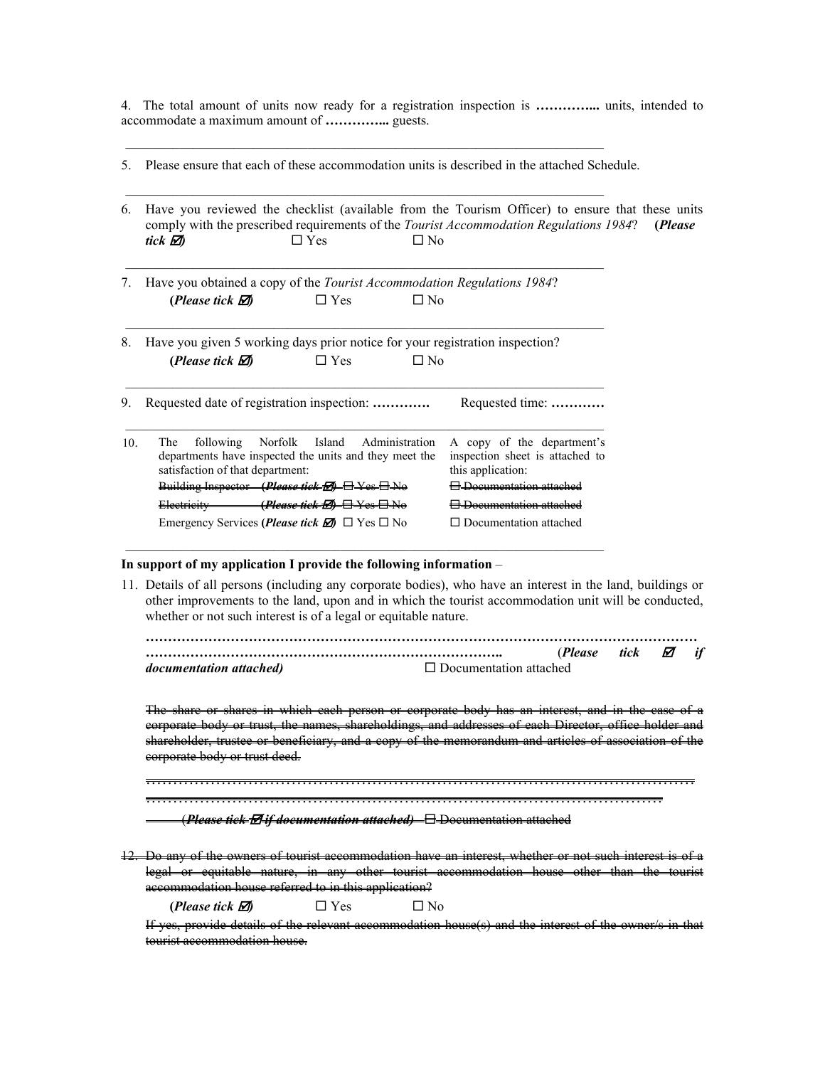4. The total amount of units now ready for a registration inspection is **…………...** units, intended to accommodate a maximum amount of **…………...** guests.

5. Please ensure that each of these accommodation units is described in the attached Schedule.

 $\_$  , and the set of the set of the set of the set of the set of the set of the set of the set of the set of the set of the set of the set of the set of the set of the set of the set of the set of the set of the set of th

 $\_$  , and the set of the set of the set of the set of the set of the set of the set of the set of the set of the set of the set of the set of the set of the set of the set of the set of the set of the set of the set of th

 $\mathcal{L}_\text{max} = \mathcal{L}_\text{max} = \mathcal{L}_\text{max} = \mathcal{L}_\text{max} = \mathcal{L}_\text{max} = \mathcal{L}_\text{max} = \mathcal{L}_\text{max} = \mathcal{L}_\text{max} = \mathcal{L}_\text{max} = \mathcal{L}_\text{max} = \mathcal{L}_\text{max} = \mathcal{L}_\text{max} = \mathcal{L}_\text{max} = \mathcal{L}_\text{max} = \mathcal{L}_\text{max} = \mathcal{L}_\text{max} = \mathcal{L}_\text{max} = \mathcal{L}_\text{max} = \mathcal{$ 

 $\_$  , and the set of the set of the set of the set of the set of the set of the set of the set of the set of the set of the set of the set of the set of the set of the set of the set of the set of the set of the set of th

- 6. Have you reviewed the checklist (available from the Tourism Officer) to ensure that these units comply with the prescribed requirements of the *Tourist Accommodation Regulations 1984*? **(***Please tick )* Yes No
- 7. Have you obtained a copy of the *Tourist Accommodation Regulations 1984*? (*Please tick*  $\mathbb{Z}$ )  $\Box$  Yes  $\Box$  No
- 8. Have you given 5 working days prior notice for your registration inspection? (*Please tick*  $\overline{2}$ )  $\Box$  Yes  $\Box$  No

| 9.  | Requested date of registration inspection:                                                                                                | Requested time:                                                                    |  |  |
|-----|-------------------------------------------------------------------------------------------------------------------------------------------|------------------------------------------------------------------------------------|--|--|
| 10. | The following Norfolk Island Administration<br>departments have inspected the units and they meet the<br>satisfaction of that department: | A copy of the department's<br>inspection sheet is attached to<br>this application: |  |  |
|     | Building Inspector (Please tick E) E Yes E No                                                                                             | $\Box$ Degmantation attack                                                         |  |  |
|     | <del>(Please tick FA ELY es ELN0</del><br><del>Electricity</del>                                                                          | $\Box$ Degumentation attac                                                         |  |  |
|     | Emergency Services ( <i>Please tick</i> $\Box$ ) $\Box$ Yes $\Box$ No                                                                     | Documentation attached                                                             |  |  |

 $\_$  , and the set of the set of the set of the set of the set of the set of the set of the set of the set of the set of the set of the set of the set of the set of the set of the set of the set of the set of the set of th

#### **In support of my application I provide the following information** –

11. Details of all persons (including any corporate bodies), who have an interest in the land, buildings or other improvements to the land, upon and in which the tourist accommodation unit will be conducted, whether or not such interest is of a legal or equitable nature.

|                                 |                               | ( <i>Please</i> | tick | ⊠ |  |
|---------------------------------|-------------------------------|-----------------|------|---|--|
| <i>documentation attached</i> ) | $\Box$ Documentation attached |                 |      |   |  |

The share or shares in which each person or corporate body has corporate body or trust, the names, shareholdings, and addresses of each Director, office holder and shareholder, trustee or beneficiary, and a copy of the memorandum and articles of association of the corporate body or trust deed.

………………………………………………………………………………………… ……………………………………………………………………………………

(*Please tick if documentation attached)* Documentation attached

Do any of the owners of tourist accommodation have an inter legal or equitable nature, in any other tourist accommodation house other than the tourist accommodation house referred to in this application?

(*Please tick*  $\overline{2}$ )  $\Box$  Yes  $\Box$  No

If yes, provide details of the relevant accommodation house(s) and the interest of the owner/s tourist accommodation house.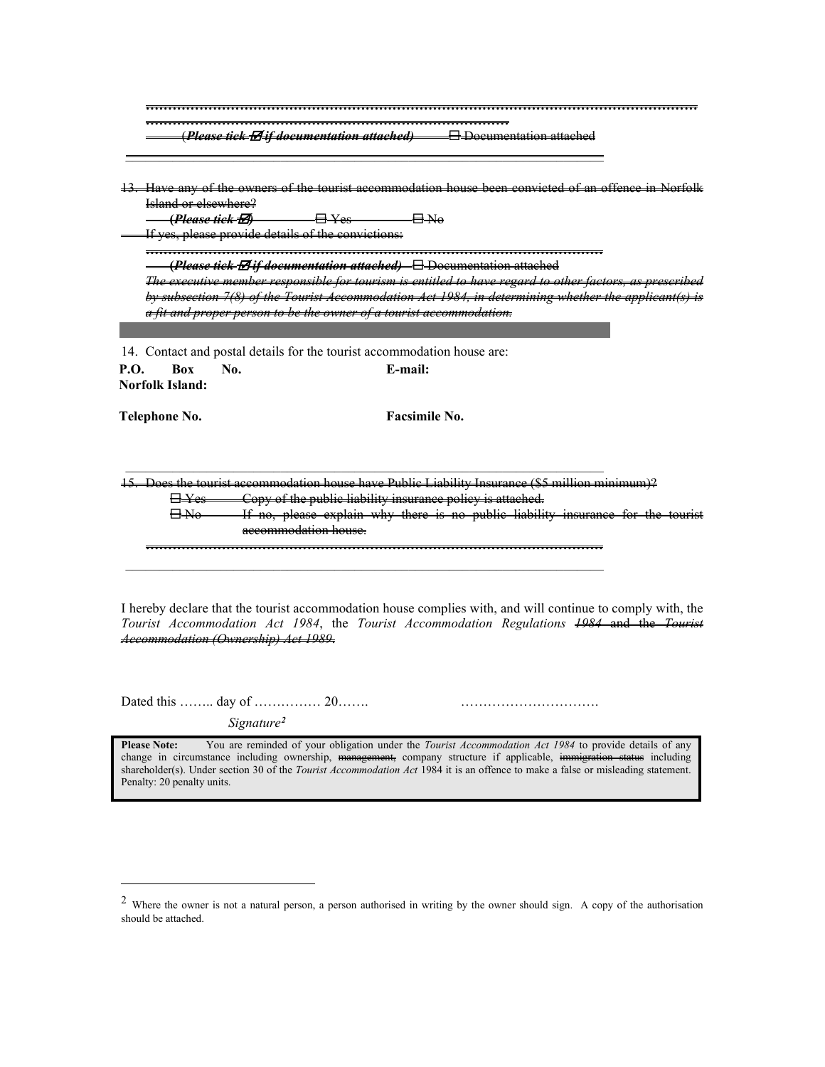|                                                    | <u>tA it documentation attached </u><br>Documentation attac                                      |
|----------------------------------------------------|--------------------------------------------------------------------------------------------------|
|                                                    |                                                                                                  |
|                                                    | Have any of the owners of the tourist accommodation house been convicted of an offence in No     |
| <u>Island or elsewhere?</u>                        |                                                                                                  |
| <del>(Please tiek-bI)</del>                        | —— <del>— П. Уез</del>                                                                           |
| If yes, please provide details of the convictions: |                                                                                                  |
|                                                    |                                                                                                  |
|                                                    |                                                                                                  |
|                                                    |                                                                                                  |
|                                                    | The executive member responsible for tourism is entitled to have regard to other factors, as pre |
|                                                    | by subsection 7(8) of the Tourist Accommodation Act 1984, in determining whether the appli       |
| a fit and proper person to be the owner            |                                                                                                  |
|                                                    |                                                                                                  |
|                                                    |                                                                                                  |
|                                                    | 14. Contact and postal details for the tourist accommodation house are:                          |
| Box<br><b>P.O.</b><br>No.                          | E-mail:                                                                                          |
| <b>Norfolk Island:</b>                             |                                                                                                  |
|                                                    |                                                                                                  |
| Telephone No.                                      | Facsimile No.                                                                                    |
|                                                    |                                                                                                  |
|                                                    |                                                                                                  |
|                                                    | Does the tourist accommodation house have Public Liability Insurance                             |

 $mma$ 

**…………………………………………………………………………………………**  $\_$  , and the set of the set of the set of the set of the set of the set of the set of the set of the set of the set of the set of the set of the set of the set of the set of the set of the set of the set of the set of th

I hereby declare that the tourist accommodation house complies with, and will continue to comply with, the *Tourist Accommodation Act 1984*, the *Tourist Accommodation Regulations 1984* and the *Tourist Accommodation (Ownership) Act 1989*.

Dated this …….. day of …………… 20……. ………………………….

 *Signature[2](#page-2-0)*

**Please Note:** You are reminded of your obligation under the *Tourist Accommodation Act 1984* to provide details of any change in circumstance including ownership, <del>management,</del> company structure if applicable, immigration status including shareholder(s). Under section 30 of the *Tourist Accommodation Act* 1984 it is an offence to make a false or misleading statement. Penalty: 20 penalty units.

<span id="page-2-0"></span> <sup>2</sup> Where the owner is not a natural person, a person authorised in writing by the owner should sign. A copy of the authorisation should be attached.